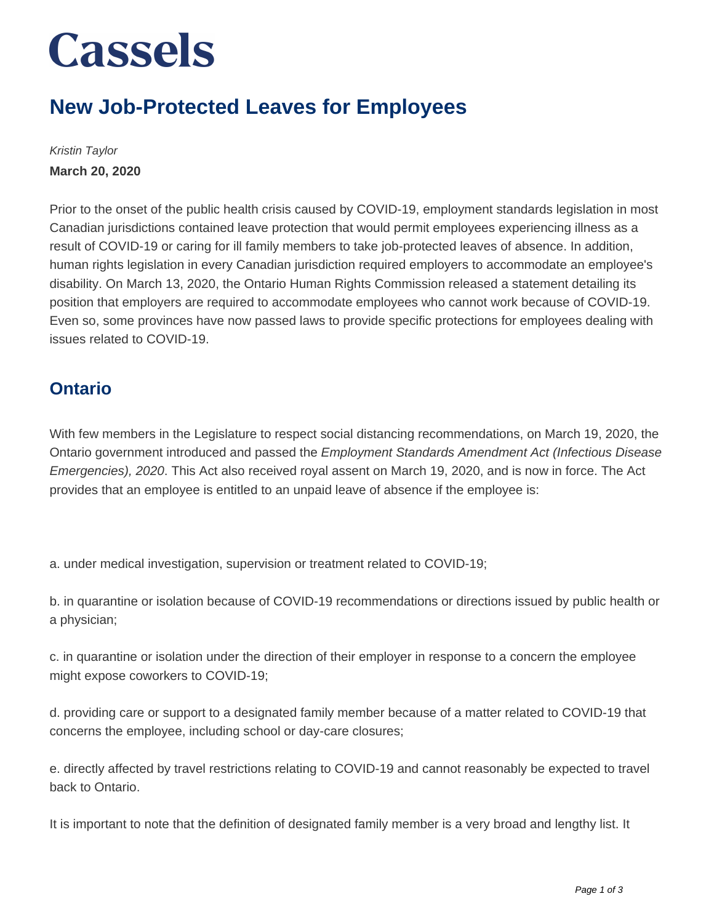# **Cassels**

### **New Job-Protected Leaves for Employees**

Kristin Taylor **March 20, 2020**

Prior to the onset of the public health crisis caused by COVID-19, employment standards legislation in most Canadian jurisdictions contained leave protection that would permit employees experiencing illness as a result of COVID-19 or caring for ill family members to take job-protected leaves of absence. In addition, human rights legislation in every Canadian jurisdiction required employers to accommodate an employee's disability. On March 13, 2020, the Ontario Human Rights Commission released a statement detailing its position that employers are required to accommodate employees who cannot work because of COVID-19. Even so, some provinces have now passed laws to provide specific protections for employees dealing with issues related to COVID-19.

#### **Ontario**

With few members in the Legislature to respect social distancing recommendations, on March 19, 2020, the Ontario government introduced and passed the Employment Standards Amendment Act (Infectious Disease Emergencies), 2020. This Act also received royal assent on March 19, 2020, and is now in force. The Act provides that an employee is entitled to an unpaid leave of absence if the employee is:

a. under medical investigation, supervision or treatment related to COVID-19;

b. in quarantine or isolation because of COVID-19 recommendations or directions issued by public health or a physician;

c. in quarantine or isolation under the direction of their employer in response to a concern the employee might expose coworkers to COVID-19;

d. providing care or support to a designated family member because of a matter related to COVID-19 that concerns the employee, including school or day-care closures;

e. directly affected by travel restrictions relating to COVID-19 and cannot reasonably be expected to travel back to Ontario.

It is important to note that the definition of designated family member is a very broad and lengthy list. It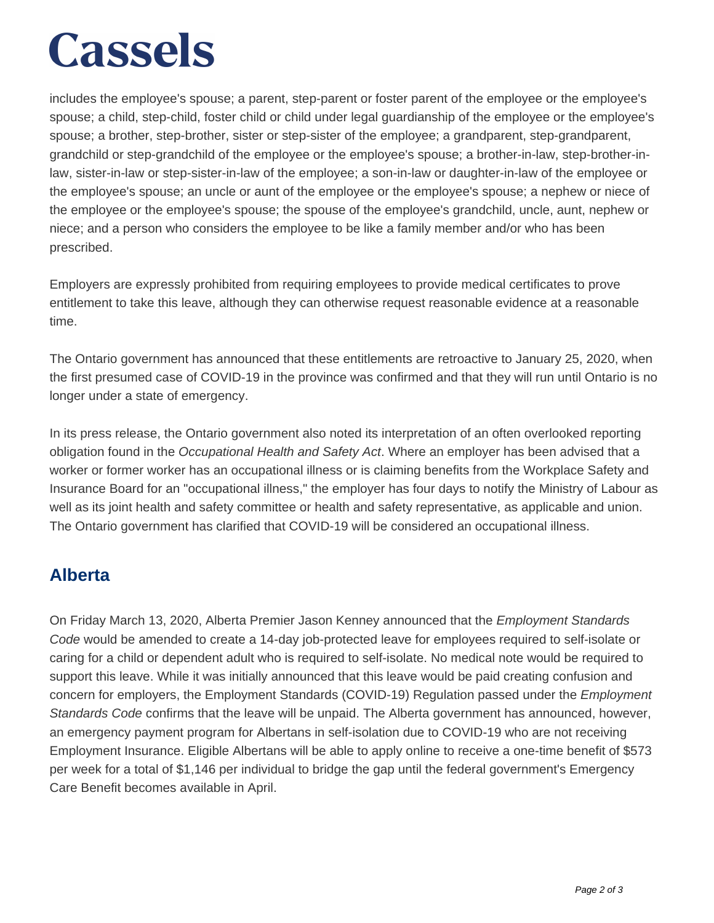# **Cassels**

includes the employee's spouse; a parent, step-parent or foster parent of the employee or the employee's spouse; a child, step-child, foster child or child under legal guardianship of the employee or the employee's spouse; a brother, step-brother, sister or step-sister of the employee; a grandparent, step-grandparent, grandchild or step-grandchild of the employee or the employee's spouse; a brother-in-law, step-brother-inlaw, sister-in-law or step-sister-in-law of the employee; a son-in-law or daughter-in-law of the employee or the employee's spouse; an uncle or aunt of the employee or the employee's spouse; a nephew or niece of the employee or the employee's spouse; the spouse of the employee's grandchild, uncle, aunt, nephew or niece; and a person who considers the employee to be like a family member and/or who has been prescribed.

Employers are expressly prohibited from requiring employees to provide medical certificates to prove entitlement to take this leave, although they can otherwise request reasonable evidence at a reasonable time.

The Ontario government has announced that these entitlements are retroactive to January 25, 2020, when the first presumed case of COVID-19 in the province was confirmed and that they will run until Ontario is no longer under a state of emergency.

In its press release, the Ontario government also noted its interpretation of an often overlooked reporting obligation found in the Occupational Health and Safety Act. Where an employer has been advised that a worker or former worker has an occupational illness or is claiming benefits from the Workplace Safety and Insurance Board for an "occupational illness," the employer has four days to notify the Ministry of Labour as well as its joint health and safety committee or health and safety representative, as applicable and union. The Ontario government has clarified that COVID-19 will be considered an occupational illness.

### **Alberta**

On Friday March 13, 2020, Alberta Premier Jason Kenney announced that the *Employment Standards* Code would be amended to create a 14-day job-protected leave for employees required to self-isolate or caring for a child or dependent adult who is required to self-isolate. No medical note would be required to support this leave. While it was initially announced that this leave would be paid creating confusion and concern for employers, the Employment Standards (COVID-19) Regulation passed under the *Employment* Standards Code confirms that the leave will be unpaid. The Alberta government has announced, however, an emergency payment program for Albertans in self-isolation due to COVID-19 who are not receiving Employment Insurance. Eligible Albertans will be able to apply online to receive a one-time benefit of \$573 per week for a total of \$1,146 per individual to bridge the gap until the federal government's Emergency Care Benefit becomes available in April.